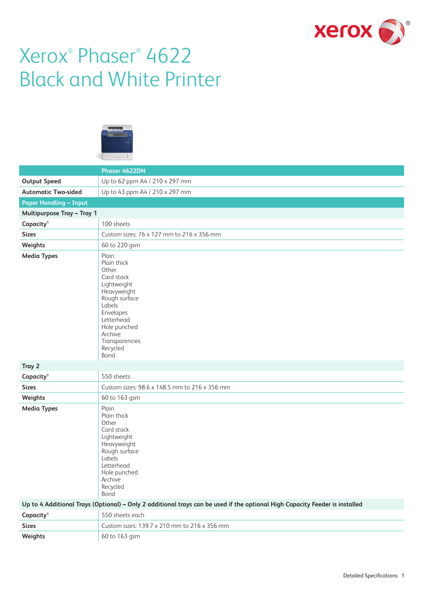

# Xerox® Phaser® 4622 Black and White Printer



|                                                                                                                             | Phaser 4622DN                                                                                                                                                                                    |  |  |  |
|-----------------------------------------------------------------------------------------------------------------------------|--------------------------------------------------------------------------------------------------------------------------------------------------------------------------------------------------|--|--|--|
| <b>Output Speed</b>                                                                                                         | Up to 62 ppm A4 / 210 x 297 mm                                                                                                                                                                   |  |  |  |
| <b>Automatic Two-sided</b>                                                                                                  | Up to 43 ppm A4 / 210 x 297 mm                                                                                                                                                                   |  |  |  |
| <b>Paper Handling - Input</b>                                                                                               |                                                                                                                                                                                                  |  |  |  |
| <b>Multipurpose Tray - Tray 1</b>                                                                                           |                                                                                                                                                                                                  |  |  |  |
| Capacity <sup>1</sup>                                                                                                       | 100 sheets                                                                                                                                                                                       |  |  |  |
| <b>Sizes</b>                                                                                                                | Custom sizes: 76 x 127 mm to 216 x 356 mm                                                                                                                                                        |  |  |  |
| Weights                                                                                                                     | 60 to 220 gsm                                                                                                                                                                                    |  |  |  |
| <b>Media Types</b>                                                                                                          | Plain<br>Plain thick<br>Other<br>Card stock<br>Lightweight<br>Heavyweight<br>Rough surface<br>Labels<br>Envelopes<br>Letterhead<br>Hole punched<br>Archive<br>Transparencies<br>Recycled<br>Bond |  |  |  |
| Tray 2                                                                                                                      |                                                                                                                                                                                                  |  |  |  |
| Capacity <sup>1</sup>                                                                                                       | 550 sheets                                                                                                                                                                                       |  |  |  |
| <b>Sizes</b>                                                                                                                | Custom sizes: 98.6 x 148.5 mm to 216 x 356 mm                                                                                                                                                    |  |  |  |
| Weights                                                                                                                     | 60 to 163 gsm                                                                                                                                                                                    |  |  |  |
| <b>Media Types</b>                                                                                                          | Plain<br>Plain thick<br>Other<br>Card stock<br>Lightweight<br>Heavyweight<br>Rough surface<br>Labels<br>Letterhead<br>Hole punched<br>Archive<br>Recycled<br>Bond                                |  |  |  |
| Up to 4 Additional Trays (Optional) - Only 2 additional trays can be used if the optional High Capacity Feeder is installed |                                                                                                                                                                                                  |  |  |  |
| Capacity <sup>1</sup>                                                                                                       | 550 sheets each                                                                                                                                                                                  |  |  |  |
| <b>Sizes</b>                                                                                                                | Custom sizes: 139.7 x 210 mm to 216 x 356 mm                                                                                                                                                     |  |  |  |
| Weights                                                                                                                     | 60 to 163 gsm                                                                                                                                                                                    |  |  |  |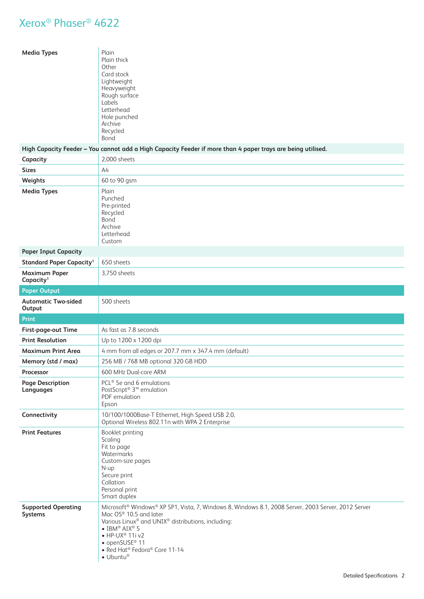| <b>Media Types</b>                            | Plain<br>Plain thick<br>Other<br>Card stock<br>Lightweight<br>Heavyweight<br>Rough surface<br>Labels<br>Letterhead<br>Hole punched<br>Archive<br>Recycled<br>Bond                                                                                                                                                                                   |
|-----------------------------------------------|-----------------------------------------------------------------------------------------------------------------------------------------------------------------------------------------------------------------------------------------------------------------------------------------------------------------------------------------------------|
|                                               | High Capacity Feeder - You cannot add a High Capacity Feeder if more than 4 paper trays are being utilised.                                                                                                                                                                                                                                         |
| Capacity                                      | 2.000 sheets                                                                                                                                                                                                                                                                                                                                        |
| <b>Sizes</b>                                  | A4                                                                                                                                                                                                                                                                                                                                                  |
| Weights                                       | 60 to 90 gsm                                                                                                                                                                                                                                                                                                                                        |
| <b>Media Types</b>                            | Plain<br>Punched<br>Pre-printed<br>Recycled<br><b>Bond</b><br>Archive<br>Letterhead<br>Custom                                                                                                                                                                                                                                                       |
| <b>Paper Input Capacity</b>                   |                                                                                                                                                                                                                                                                                                                                                     |
| <b>Standard Paper Capacity<sup>1</sup></b>    | 650 sheets                                                                                                                                                                                                                                                                                                                                          |
| <b>Maximum Paper</b><br>Capacity <sup>1</sup> | 3,750 sheets                                                                                                                                                                                                                                                                                                                                        |
| <b>Paper Output</b>                           |                                                                                                                                                                                                                                                                                                                                                     |
| <b>Automatic Two-sided</b><br>Output          | 500 sheets                                                                                                                                                                                                                                                                                                                                          |
| Print                                         |                                                                                                                                                                                                                                                                                                                                                     |
| First-page-out Time                           | As fast as 7.8 seconds                                                                                                                                                                                                                                                                                                                              |
| <b>Print Resolution</b>                       | Up to 1200 x 1200 dpi                                                                                                                                                                                                                                                                                                                               |
| <b>Maximum Print Area</b>                     | 4 mm from all edges or 207.7 mm x 347.4 mm (default)                                                                                                                                                                                                                                                                                                |
| Memory (std / max)                            | 256 MB / 768 MB optional 320 GB HDD                                                                                                                                                                                                                                                                                                                 |
| Processor                                     | 600 MHz Dual-core ARM                                                                                                                                                                                                                                                                                                                               |
| <b>Page Description</b><br>Languages          | PCL <sup>®</sup> 5e and 6 emulations<br>PostScript <sup>®</sup> 3 <sup>™</sup> emulation<br>PDF emulation<br>Epson                                                                                                                                                                                                                                  |
| Connectivity                                  | 10/100/1000Base-T Ethernet, High Speed USB 2.0,<br>Optional Wireless 802.11n with WPA 2 Enterprise                                                                                                                                                                                                                                                  |
| <b>Print Features</b>                         | Booklet printing<br>Scaling<br>Fit to page<br>Watermarks<br>Custom-size pages<br>N-up<br>Secure print<br>Collation<br>Personal print<br>Smart duplex                                                                                                                                                                                                |
| <b>Supported Operating</b><br>Systems         | Microsoft® Windows® XP SP1, Vista, 7, Windows 8, Windows 8.1, 2008 Server, 2003 Server, 2012 Server<br>Mac OS® 10.5 and later<br>Various Linux® and UNIX® distributions, including:<br>$\bullet$ IBM® AIX® 5<br>$\bullet$ HP-UX <sup>®</sup> 11i v2<br>• openSUSE <sup>®</sup> 11<br>• Red Hat <sup>®</sup> Fedora® Core 11-14<br>$\bullet$ Ubuntu® |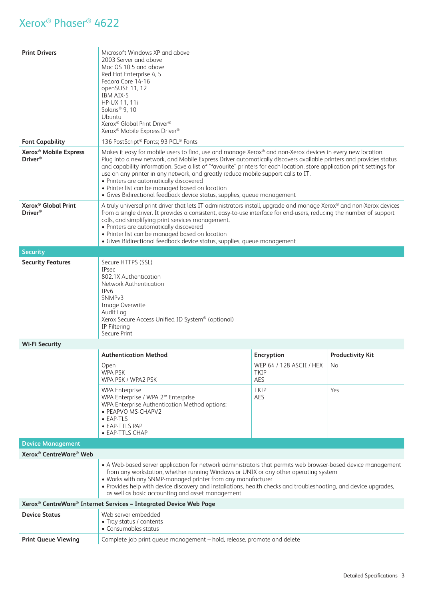| <b>Print Drivers</b>                                                                                                                                                                                                                                                                                                                                                                                                                                                                         | Microsoft Windows XP and above<br>2003 Server and above<br>Mac OS 10.5 and above<br>Red Hat Enterprise 4, 5<br>Fedora Core 14-16<br>openSUSE 11, 12<br>IBM AIX-5<br>HP-UX 11, 11i<br>Solaris <sup>®</sup> 9, 10<br>Ubuntu<br>Xerox <sup>®</sup> Global Print Driver <sup>®</sup><br>Xerox <sup>®</sup> Mobile Express Driver <sup>®</sup>                                                                                                                                                                                                                                                                                 |                                                |                         |  |  |
|----------------------------------------------------------------------------------------------------------------------------------------------------------------------------------------------------------------------------------------------------------------------------------------------------------------------------------------------------------------------------------------------------------------------------------------------------------------------------------------------|---------------------------------------------------------------------------------------------------------------------------------------------------------------------------------------------------------------------------------------------------------------------------------------------------------------------------------------------------------------------------------------------------------------------------------------------------------------------------------------------------------------------------------------------------------------------------------------------------------------------------|------------------------------------------------|-------------------------|--|--|
| <b>Font Capability</b>                                                                                                                                                                                                                                                                                                                                                                                                                                                                       | 136 PostScript® Fonts; 93 PCL® Fonts                                                                                                                                                                                                                                                                                                                                                                                                                                                                                                                                                                                      |                                                |                         |  |  |
| Xerox <sup>®</sup> Mobile Express<br>Driver <sup>®</sup>                                                                                                                                                                                                                                                                                                                                                                                                                                     | Makes it easy for mobile users to find, use and manage Xerox® and non-Xerox devices in every new location.<br>Plug into a new network, and Mobile Express Driver automatically discovers available printers and provides status<br>and capability information. Save a list of "favourite" printers for each location, store application print settings for<br>use on any printer in any network, and greatly reduce mobile support calls to IT.<br>• Printers are automatically discovered<br>• Printer list can be managed based on location<br>· Gives Bidirectional feedback device status, supplies, queue management |                                                |                         |  |  |
| Xerox <sup>®</sup> Global Print<br><b>Driver</b> <sup>®</sup>                                                                                                                                                                                                                                                                                                                                                                                                                                | A truly universal print driver that lets IT administrators install, upgrade and manage Xerox® and non-Xerox devices<br>from a single driver. It provides a consistent, easy-to-use interface for end-users, reducing the number of support<br>calls, and simplifying print services management.<br>• Printers are automatically discovered<br>• Printer list can be managed based on location<br>· Gives Bidirectional feedback device status, supplies, queue management                                                                                                                                                 |                                                |                         |  |  |
| <b>Security</b>                                                                                                                                                                                                                                                                                                                                                                                                                                                                              |                                                                                                                                                                                                                                                                                                                                                                                                                                                                                                                                                                                                                           |                                                |                         |  |  |
| <b>Security Features</b>                                                                                                                                                                                                                                                                                                                                                                                                                                                                     | Secure HTTPS (SSL)<br><b>IPsec</b><br>802.1X Authentication<br>Network Authentication<br>IP <sub>v</sub> 6<br>SNMP <sub>v3</sub><br>Image Overwrite<br>Audit Log<br>Xerox Secure Access Unified ID System® (optional)<br>IP Filtering<br>Secure Print                                                                                                                                                                                                                                                                                                                                                                     |                                                |                         |  |  |
| <b>Wi-Fi Security</b>                                                                                                                                                                                                                                                                                                                                                                                                                                                                        |                                                                                                                                                                                                                                                                                                                                                                                                                                                                                                                                                                                                                           |                                                |                         |  |  |
|                                                                                                                                                                                                                                                                                                                                                                                                                                                                                              | <b>Authentication Method</b>                                                                                                                                                                                                                                                                                                                                                                                                                                                                                                                                                                                              | <b>Encryption</b>                              | <b>Productivity Kit</b> |  |  |
|                                                                                                                                                                                                                                                                                                                                                                                                                                                                                              | Open<br>WPA PSK<br>WPA PSK / WPA2 PSK                                                                                                                                                                                                                                                                                                                                                                                                                                                                                                                                                                                     | WEP 64 / 128 ASCII / HEX<br><b>TKIP</b><br>AES | No                      |  |  |
|                                                                                                                                                                                                                                                                                                                                                                                                                                                                                              | <b>WPA Enterprise</b><br>WPA Enterprise / WPA 2™ Enterprise<br>WPA Enterprise Authentication Method options:<br>• PEAPVO MS-CHAPV2<br>• EAP-TLS<br>• EAP-TTLS PAP<br>• EAP-TTLS CHAP                                                                                                                                                                                                                                                                                                                                                                                                                                      | <b>TKIP</b><br>AES                             | Yes                     |  |  |
| <b>Device Management</b>                                                                                                                                                                                                                                                                                                                                                                                                                                                                     |                                                                                                                                                                                                                                                                                                                                                                                                                                                                                                                                                                                                                           |                                                |                         |  |  |
| Xerox <sup>®</sup> CentreWare <sup>®</sup> Web<br>• A Web-based server application for network administrators that permits web browser-based device management<br>from any workstation, whether running Windows or UNIX or any other operating system<br>. Works with any SNMP-managed printer from any manufacturer<br>· Provides help with device discovery and installations, health checks and troubleshooting, and device upgrades,<br>as well as basic accounting and asset management |                                                                                                                                                                                                                                                                                                                                                                                                                                                                                                                                                                                                                           |                                                |                         |  |  |
| Xerox <sup>®</sup> CentreWare <sup>®</sup> Internet Services - Integrated Device Web Page                                                                                                                                                                                                                                                                                                                                                                                                    |                                                                                                                                                                                                                                                                                                                                                                                                                                                                                                                                                                                                                           |                                                |                         |  |  |
| <b>Device Status</b>                                                                                                                                                                                                                                                                                                                                                                                                                                                                         | Web server embedded<br>• Tray status / contents<br>• Consumables status                                                                                                                                                                                                                                                                                                                                                                                                                                                                                                                                                   |                                                |                         |  |  |
| <b>Print Queue Viewing</b>                                                                                                                                                                                                                                                                                                                                                                                                                                                                   | Complete job print queue management - hold, release, promote and delete                                                                                                                                                                                                                                                                                                                                                                                                                                                                                                                                                   |                                                |                         |  |  |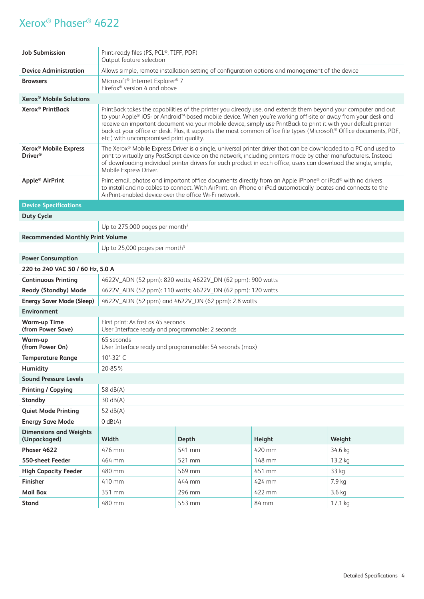| <b>Job Submission</b>                                           | Print-ready files (PS, PCL®, TIFF, PDF)<br>Output feature selection                                                                                                                                                                                                                                                                                                                                                                                                                                                  |                                                                                                  |        |          |  |
|-----------------------------------------------------------------|----------------------------------------------------------------------------------------------------------------------------------------------------------------------------------------------------------------------------------------------------------------------------------------------------------------------------------------------------------------------------------------------------------------------------------------------------------------------------------------------------------------------|--------------------------------------------------------------------------------------------------|--------|----------|--|
| <b>Device Administration</b>                                    |                                                                                                                                                                                                                                                                                                                                                                                                                                                                                                                      | Allows simple, remote installation setting of configuration options and management of the device |        |          |  |
| <b>Browsers</b>                                                 | Microsoft <sup>®</sup> Internet Explorer <sup>®</sup> 7<br>Firefox <sup>®</sup> version 4 and above                                                                                                                                                                                                                                                                                                                                                                                                                  |                                                                                                  |        |          |  |
| Xerox <sup>®</sup> Mobile Solutions                             |                                                                                                                                                                                                                                                                                                                                                                                                                                                                                                                      |                                                                                                  |        |          |  |
| Xerox <sup>®</sup> PrintBack                                    | PrintBack takes the capabilities of the printer you already use, and extends them beyond your computer and out<br>to your Apple® iOS- or Android™-based mobile device. When you're working off-site or away from your desk and<br>receive an important document via your mobile device, simply use PrintBack to print it with your default printer<br>back at your office or desk. Plus, it supports the most common office file types (Microsoft® Office documents, PDF,<br>etc.) with uncompromised print quality. |                                                                                                  |        |          |  |
| Xerox <sup>®</sup> Mobile Express<br><b>Driver</b> <sup>®</sup> | The Xerox® Mobile Express Driver is a single, universal printer driver that can be downloaded to a PC and used to<br>print to virtually any PostScript device on the network, including printers made by other manufacturers. Instead<br>of downloading individual printer drivers for each product in each office, users can download the single, simple,<br>Mobile Express Driver.                                                                                                                                 |                                                                                                  |        |          |  |
| Apple <sup>®</sup> AirPrint                                     | Print email, photos and important office documents directly from an Apple iPhone® or iPad® with no drivers<br>to install and no cables to connect. With AirPrint, an iPhone or iPad automatically locates and connects to the<br>AirPrint-enabled device over the office Wi-Fi network.                                                                                                                                                                                                                              |                                                                                                  |        |          |  |
| <b>Device Specifications</b>                                    |                                                                                                                                                                                                                                                                                                                                                                                                                                                                                                                      |                                                                                                  |        |          |  |
| <b>Duty Cycle</b>                                               |                                                                                                                                                                                                                                                                                                                                                                                                                                                                                                                      |                                                                                                  |        |          |  |
|                                                                 | Up to 275,000 pages per month <sup>2</sup>                                                                                                                                                                                                                                                                                                                                                                                                                                                                           |                                                                                                  |        |          |  |
| <b>Recommended Monthly Print Volume</b>                         |                                                                                                                                                                                                                                                                                                                                                                                                                                                                                                                      |                                                                                                  |        |          |  |
|                                                                 | Up to 25,000 pages per month <sup>3</sup>                                                                                                                                                                                                                                                                                                                                                                                                                                                                            |                                                                                                  |        |          |  |
| <b>Power Consumption</b>                                        |                                                                                                                                                                                                                                                                                                                                                                                                                                                                                                                      |                                                                                                  |        |          |  |
| 220 to 240 VAC 50 / 60 Hz, 5.0 A                                |                                                                                                                                                                                                                                                                                                                                                                                                                                                                                                                      |                                                                                                  |        |          |  |
| <b>Continuous Printing</b>                                      |                                                                                                                                                                                                                                                                                                                                                                                                                                                                                                                      | 4622V_ADN (52 ppm): 820 watts; 4622V_DN (62 ppm): 900 watts                                      |        |          |  |
| <b>Ready (Standby) Mode</b>                                     |                                                                                                                                                                                                                                                                                                                                                                                                                                                                                                                      | 4622V_ADN (52 ppm): 110 watts; 4622V_DN (62 ppm): 120 watts                                      |        |          |  |
| <b>Energy Saver Mode (Sleep)</b>                                | 4622V_ADN (52 ppm) and 4622V_DN (62 ppm): 2.8 watts                                                                                                                                                                                                                                                                                                                                                                                                                                                                  |                                                                                                  |        |          |  |
| <b>Environment</b>                                              |                                                                                                                                                                                                                                                                                                                                                                                                                                                                                                                      |                                                                                                  |        |          |  |
| <b>Warm-up Time</b><br>(from Power Save)                        | First print: As fast as 45 seconds<br>User Interface ready and programmable: 2 seconds                                                                                                                                                                                                                                                                                                                                                                                                                               |                                                                                                  |        |          |  |
| Warm-up<br>(from Power On)                                      | 65 seconds<br>User Interface ready and programmable: 54 seconds (max)                                                                                                                                                                                                                                                                                                                                                                                                                                                |                                                                                                  |        |          |  |
| <b>Temperature Range</b>                                        | 10°-32°C                                                                                                                                                                                                                                                                                                                                                                                                                                                                                                             |                                                                                                  |        |          |  |
| <b>Humidity</b>                                                 | 20-85%                                                                                                                                                                                                                                                                                                                                                                                                                                                                                                               |                                                                                                  |        |          |  |
| <b>Sound Pressure Levels</b>                                    |                                                                                                                                                                                                                                                                                                                                                                                                                                                                                                                      |                                                                                                  |        |          |  |
| <b>Printing / Copying</b>                                       | 58 dB(A)                                                                                                                                                                                                                                                                                                                                                                                                                                                                                                             |                                                                                                  |        |          |  |
| <b>Standby</b>                                                  | 30 dB(A)                                                                                                                                                                                                                                                                                                                                                                                                                                                                                                             |                                                                                                  |        |          |  |
| <b>Quiet Mode Printing</b>                                      | 52 $dB(A)$                                                                                                                                                                                                                                                                                                                                                                                                                                                                                                           |                                                                                                  |        |          |  |
| <b>Energy Save Mode</b>                                         | 0 dB(A)                                                                                                                                                                                                                                                                                                                                                                                                                                                                                                              |                                                                                                  |        |          |  |
| <b>Dimensions and Weights</b><br>(Unpackaged)                   | Width                                                                                                                                                                                                                                                                                                                                                                                                                                                                                                                | <b>Depth</b>                                                                                     | Height | Weight   |  |
| Phaser 4622                                                     | 476 mm                                                                                                                                                                                                                                                                                                                                                                                                                                                                                                               | 541 mm                                                                                           | 420 mm | 34.6 kg  |  |
| 550-sheet Feeder                                                | 464 mm                                                                                                                                                                                                                                                                                                                                                                                                                                                                                                               | 521 mm                                                                                           | 148 mm | 13.2 kg  |  |
| <b>High Capacity Feeder</b>                                     | 480 mm                                                                                                                                                                                                                                                                                                                                                                                                                                                                                                               | 569 mm                                                                                           | 451 mm | 33 kg    |  |
| Finisher                                                        | 410 mm                                                                                                                                                                                                                                                                                                                                                                                                                                                                                                               | 444 mm                                                                                           | 424 mm | 7.9 kg   |  |
| <b>Mail Box</b>                                                 | 351 mm                                                                                                                                                                                                                                                                                                                                                                                                                                                                                                               | 296 mm                                                                                           | 422 mm | $3.6$ kg |  |
| <b>Stand</b>                                                    | 480 mm                                                                                                                                                                                                                                                                                                                                                                                                                                                                                                               | 553 mm                                                                                           | 84 mm  | 17.1 kg  |  |